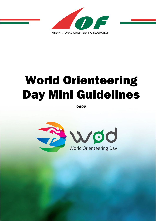

# World Orienteering Day Mini Guidelines

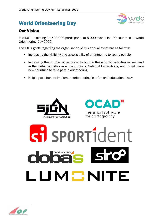# World Orienteering Day



#### Our Vision

The IOF are aiming for 500 000 participants at 5 000 events in 100 countries at World Orienteering Day 2022.

The IOF's goals regarding the organisation of this annual event are as follows:

- Increasing the visibility and accessibility of orienteering to young people.
- Increasing the number of participants both in the schools' activities as well and in the clubs' activities in all countries of National Federations, and to get more new countries to take part in orienteering.
- Helping teachers to implement orienteering in a fun and educational way.



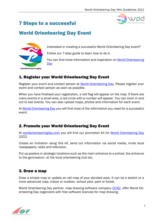# 7 Steps to a successful



## World Orienteering Day Event



Interested in creating a successful World Orienteering Day event?

Follow our 7-step guide to learn how to do it.

You can find more information and inspiration on [World Orienteering](http://www.worldorienteeringday.com/)  **Day** 

## 1. Register your World Orienteering Day Event

Register your event and contact person at [World Orienteering Day.](https://worldorienteeringday.com/) Please register your event and contact person as soon as possible.

When you have finalised your registration, a red flag will appear on the map. If there are many events in a small area, a red circle with a number will appear. You can zoom in and out to see events. You can also upload maps, photos and information for each event.

At [World Orienteering Day](http://www.worldorienteeringday.com/) you will find most of the information you need for a successful event.

#### 2. Promote your World Orienteering Day Event

At [worldorienteeringday.com](http://www.worldorienteeringday.com/) you will find our promotion kit for [World Orienteering Day](https://worldorienteeringday.com/) 2022.

Create an invitation using this kit, send out information via social media, invite local newspapers, radio and television.

Put up posters in strategic locations such as the main entrance to a school, the entrance to the gymnasium, at the local orienteering club etc.

#### 3. Draw a map

Draw a simple map or update an old map of your decided area. It can be a sketch or a more advanced map, indoor or outdoor, school yard, park or forest.

World Orienteering Day partner, map drawing software company [OCAD,](https://www.ocad.com/en/) offer World Orienteering Day organizers with free software licences for map drawing.

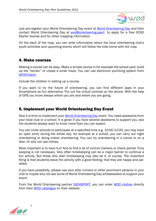

Just pre-register your World Orienteering Day event at [World Orienteering Day](https://worldorienteeringday.com/) and then contact World Orienteering Day at **[wod@orienteering.sport](mailto:wod@orienteering.sport)** to apply for a free OCAD Starter license and for other mapping information.

On the back of the map, you can write information about the local orienteering club's youth activities and upcoming events which will follow the kids home with the map.

#### 4. Make courses

Making a course can be easy. Make a simple course in for example the school yard, build up the "terrain" or create a small maze. You can use electronic punching system from [SPORTident.](https://www.sportident.com/)

Include the children in setting up a course.

If you want to try the future of orienteering, you can find different apps in your Smartphone as fun alternative. Put out the virtual controls on the phone. With the help of GPS you know always where you are and where you are going.

#### 5. Implement your World Orienteering Day Event

Now it is time to implement your [World Orienteering Day](https://worldorienteeringday.com/) event. You need assistants from your local club or a school. It is great if you have several assistants to support you, due the students always want to know more than you can expect.

You can invite schools to participate at a specified time e.g. 10:00-12:00, you may have an open entry during the whole day, for example at a school, you can carry out night orienteering or doing indoor orienteering. You can try orienteering in a canoe or on a bike. Or why not use inlines.

Most important is to have fun! And to find a lot of control markers or check points! Time keeping is not necessary. Very often timekeeping can be a major barrier to continue a fun activity. But those who wish timekeeping may also do it, of course. The important thing is that students leave the activity with a good feeling, that they are happy and satisfied.

If you have possibility, please use your elite runners or other prominent persons in your club or maybe why not ask some of World Orienteering Day ambassadors to support your event.

From the World Orienteering partner **SIGNSPORT**, you can order [WOD clothes](https://sign-sport.com/product-category/production/world-orienteering-day/) directly from their [WOD catalogue](https://en.calameo.com/read/005527772e3f29793a463) on their website.

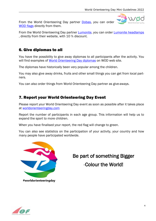From the World Orienteering Day partner [Dobas,](https://www.facebook.com/dobas.eu/) you can order [WOD flags](https://www.facebook.com/dobas.eu/) directly from them.

From the World Orienteering Day partner **Lumonite**, you can order **Lumonite headlamps** , directly from their website, with 10 % discount.

### 6. Give diplomas to all

You have the possibility to give away diplomas to all participants after the activity. You will find examples of [World Orienteering Day](https://worldorienteeringday.com/index.php/organise-an-event/) diplomas on WOD web site.

The diplomas have historically been very popular among the children.

You may also give away drinks, fruits and other small things you can get from local partners.

You can also order things from World Orienteering Day partner as give-aways.

#### 7. Report your World Orienteering Day Event

Please report your World Orienteering Day event as soon as possible after it takes place at [worldorienteeringday.com](file://orienteering.datalatu.fi/orienteeringorg/yhteiset/Development%20projects/WOD/Guidelines/2021/www.worldorienteeringday.com) 

Report the number of participants in each age group. This information will help us to expand the sport to more children.

When you have finalised your report, the red flag will change to green.

You can also see statistics on the participation of your activity, your country and how many people have participated worldwide.



Be part of something Bigger -Colour the World!

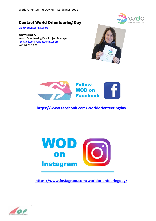

#### Contact World Orienteering Day

[wod@orienteering.sport](mailto:wod@orienteering.sport)

**Jenny Nilsson**, World Orienteering Day, Project Manager [jenny.nilsson@orienteering.sport](mailto:jenny.nilsson@orienteering.sport) +46 70 29 59 30





**<https://www.facebook.com/Worldorienteeringday>**



**[https://www.instagram.com/worldorienteeringday/](https://www.instagram.com/worldorienteeringday)**